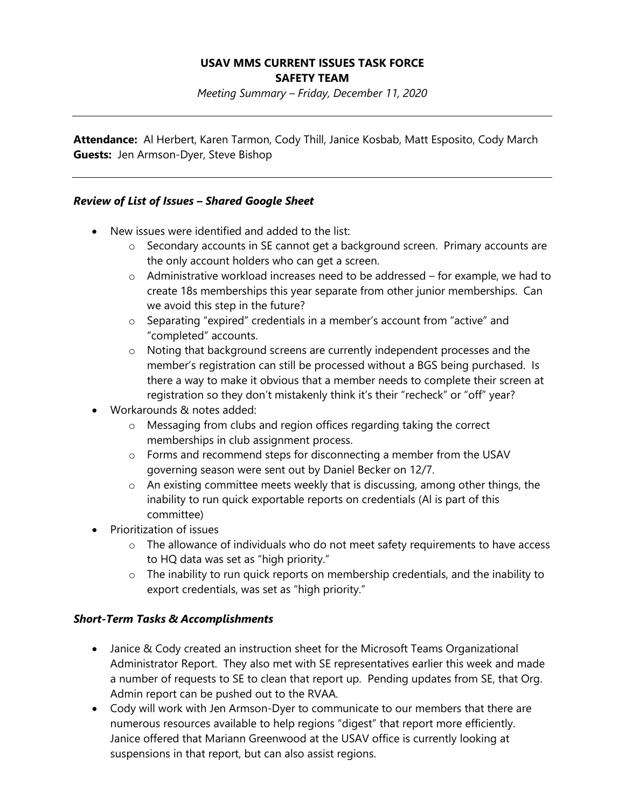## **USAV MMS CURRENT ISSUES TASK FORCE SAFETY TEAM**

*Meeting Summary – Friday, December 11, 2020*

**Attendance:** Al Herbert, Karen Tarmon, Cody Thill, Janice Kosbab, Matt Esposito, Cody March **Guests:** Jen Armson-Dyer, Steve Bishop

## *Review of List of Issues – Shared Google Sheet*

- New issues were identified and added to the list:
	- o Secondary accounts in SE cannot get a background screen. Primary accounts are the only account holders who can get a screen.
	- o Administrative workload increases need to be addressed for example, we had to create 18s memberships this year separate from other junior memberships. Can we avoid this step in the future?
	- o Separating "expired" credentials in a member's account from "active" and "completed" accounts.
	- o Noting that background screens are currently independent processes and the member's registration can still be processed without a BGS being purchased. Is there a way to make it obvious that a member needs to complete their screen at registration so they don't mistakenly think it's their "recheck" or "off" year?
- Workarounds & notes added:
	- o Messaging from clubs and region offices regarding taking the correct memberships in club assignment process.
	- o Forms and recommend steps for disconnecting a member from the USAV governing season were sent out by Daniel Becker on 12/7.
	- o An existing committee meets weekly that is discussing, among other things, the inability to run quick exportable reports on credentials (Al is part of this committee)
- Prioritization of issues
	- $\circ$  The allowance of individuals who do not meet safety requirements to have access to HQ data was set as "high priority."
	- o The inability to run quick reports on membership credentials, and the inability to export credentials, was set as "high priority."

#### *Short-Term Tasks & Accomplishments*

- Janice & Cody created an instruction sheet for the Microsoft Teams Organizational Administrator Report. They also met with SE representatives earlier this week and made a number of requests to SE to clean that report up. Pending updates from SE, that Org. Admin report can be pushed out to the RVAA.
- Cody will work with Jen Armson-Dyer to communicate to our members that there are numerous resources available to help regions "digest" that report more efficiently. Janice offered that Mariann Greenwood at the USAV office is currently looking at suspensions in that report, but can also assist regions.